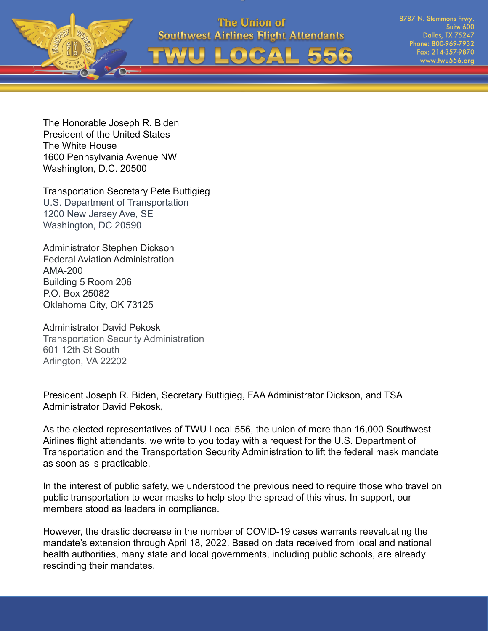



8787 N. Stemmons Frwy Suite 600 **Dallas, TX 75247** Phone: 800-969-7932 Fax: 214-357-9870 www.twu556.org

The Honorable Joseph R. Biden President of the United States The White House 1600 Pennsylvania Avenue NW Washington, D.C. 20500

Transportation Secretary Pete Buttigieg U.S. Department of Transportation 1200 New Jersey Ave, SE Washington, DC 20590

Administrator Stephen Dickson Federal Aviation Administration AMA-200 Building 5 Room 206 P.O. Box 25082 Oklahoma City, OK 73125

Administrator David Pekosk Transportation Security Administration 601 12th St South Arlington, VA 22202

President Joseph R. Biden, Secretary Buttigieg, FAA Administrator Dickson, and TSA Administrator David Pekosk,

As the elected representatives of TWU Local 556, the union of more than 16,000 Southwest Airlines flight attendants, we write to you today with a request for the U.S. Department of Transportation and the Transportation Security Administration to lift the federal mask mandate as soon as is practicable.

In the interest of public safety, we understood the previous need to require those who travel on public transportation to wear masks to help stop the spread of this virus. In support, our members stood as leaders in compliance.

However, the drastic decrease in the number of COVID-19 cases warrants reevaluating the mandate's extension through April 18, 2022. Based on data received from local and national health authorities, many state and local governments, including public schools, are already rescinding their mandates.